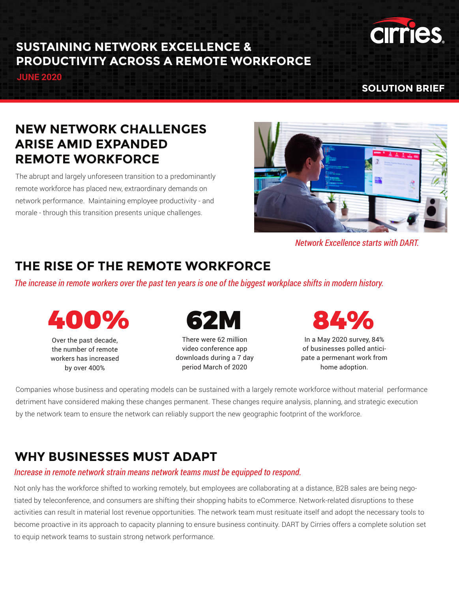## **SUSTAINING NETWORK EXCELLENCE & PRODUCTIVITY ACROSS A REMOTE WORKFORCE**

**JUNE 2020**



cirries

## **NEW NETWORK CHALLENGES ARISE AMID EXPANDED REMOTE WORKFORCE**

The abrupt and largely unforeseen transition to a predominantly remote workforce has placed new, extraordinary demands on network performance. Maintaining employee productivity - and morale - through this transition presents unique challenges.



*Network Excellence starts with DART.*

# **THE RISE OF THE REMOTE WORKFORCE**

*The increase in remote workers over the past ten years is one of the biggest workplace shifts in modern history.* 



Over the past decade, the number of remote workers has increased by over 400%



There were 62 million video conference app downloads during a 7 day period March of 2020



In a May 2020 survey, 84% of businesses polled anticipate a permenant work from home adoption.

Companies whose business and operating models can be sustained with a largely remote workforce without material performance detriment have considered making these changes permanent. These changes require analysis, planning, and strategic execution by the network team to ensure the network can reliably support the new geographic footprint of the workforce.

# **WHY BUSINESSES MUST ADAPT**

#### *Increase in remote network strain means network teams must be equipped to respond.*

Not only has the workforce shifted to working remotely, but employees are collaborating at a distance, B2B sales are being negotiated by teleconference, and consumers are shifting their shopping habits to eCommerce. Network-related disruptions to these activities can result in material lost revenue opportunities. The network team must resituate itself and adopt the necessary tools to become proactive in its approach to capacity planning to ensure business continuity. DART by Cirries offers a complete solution set to equip network teams to sustain strong network performance.